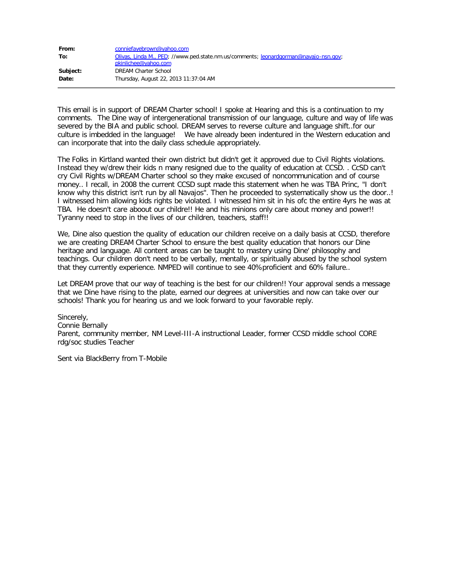| From:    | conniefayebrown@yahoo.com                                                            |
|----------|--------------------------------------------------------------------------------------|
| To:      | Olivas, Linda M., PED; //www.ped.state.nm.us/comments; leonardgorman@navajo-nsn.gov; |
|          | pkinlichee@yahoo.com                                                                 |
| Subject: | <b>DREAM Charter School</b>                                                          |
| Date:    | Thursday, August 22, 2013 11:37:04 AM                                                |

This email is in support of DREAM Charter school! I spoke at Hearing and this is a continuation to my comments. The Dine way of intergenerational transmission of our language, culture and way of life was severed by the BIA and public school. DREAM serves to reverse culture and language shift..for our culture is imbedded in the language! We have already been indentured in the Western education and can incorporate that into the daily class schedule appropriately.

The Folks in Kirtland wanted their own district but didn't get it approved due to Civil Rights violations. Instead they w/drew their kids n many resigned due to the quality of education at CCSD. . CcSD can't cry Civil Rights w/DREAM Charter school so they make excused of noncommunication and of course money.. I recall, in 2008 the current CCSD supt made this statement when he was TBA Princ, "I don't know why this district isn't run by all Navajos". Then he proceeded to systematically show us the door..! I witnessed him allowing kids rights be violated. I witnessed him sit in his ofc the entire 4yrs he was at TBA. He doesn't care aboout our childre!! He and his minions only care about money and power!! Tyranny need to stop in the lives of our children, teachers, staff!!

We, Dine also question the quality of education our children receive on a daily basis at CCSD, therefore we are creating DREAM Charter School to ensure the best quality education that honors our Dine heritage and language. All content areas can be taught to mastery using Dine' philosophy and teachings. Our children don't need to be verbally, mentally, or spiritually abused by the school system that they currently experience. NMPED will continue to see 40%proficient and 60% failure..

Let DREAM prove that our way of teaching is the best for our children!! Your approval sends a message that we Dine have rising to the plate, earned our degrees at universities and now can take over our schools! Thank you for hearing us and we look forward to your favorable reply.

Sincerely, Connie Bernally Parent, community member, NM Level-III-A instructional Leader, former CCSD middle school CORE rdg/soc studies Teacher

Sent via BlackBerry from T-Mobile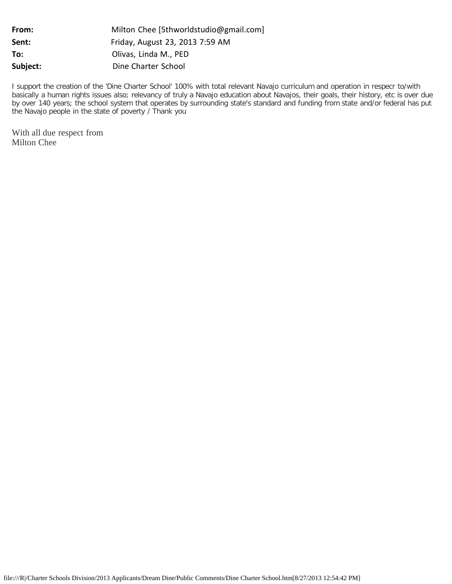| Milton Chee [5thworldstudio@gmail.com] |
|----------------------------------------|
| Friday, August 23, 2013 7:59 AM        |
| Olivas, Linda M., PED                  |
| Dine Charter School                    |
|                                        |

I support the creation of the 'Dine Charter School' 100% with total relevant Navajo curriculum and operation in respecr to/with basically a human rights issues also; relevancy of truly a Navajo education about Navajos, their goals, their history, etc is over due by over 140 years; the school system that operates by surrounding state's standard and funding from state and/or federal has put the Navajo people in the state of poverty / Thank you

With all due respect from Milton Chee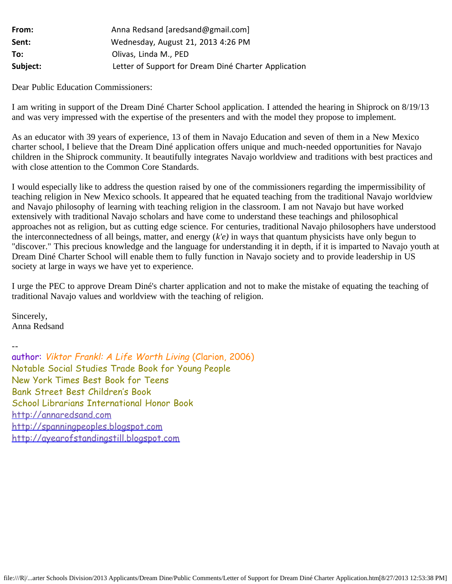| From:    | Anna Redsand [aredsand@gmail.com]                    |
|----------|------------------------------------------------------|
| Sent:    | Wednesday, August 21, 2013 4:26 PM                   |
| To:      | Olivas, Linda M., PED                                |
| Subject: | Letter of Support for Dream Diné Charter Application |

Dear Public Education Commissioners:

I am writing in support of the Dream Diné Charter School application. I attended the hearing in Shiprock on 8/19/13 and was very impressed with the expertise of the presenters and with the model they propose to implement.

As an educator with 39 years of experience, 13 of them in Navajo Education and seven of them in a New Mexico charter school, I believe that the Dream Diné application offers unique and much-needed opportunities for Navajo children in the Shiprock community. It beautifully integrates Navajo worldview and traditions with best practices and with close attention to the Common Core Standards.

I would especially like to address the question raised by one of the commissioners regarding the impermissibility of teaching religion in New Mexico schools. It appeared that he equated teaching from the traditional Navajo worldview and Navajo philosophy of learning with teaching religion in the classroom. I am not Navajo but have worked extensively with traditional Navajo scholars and have come to understand these teachings and philosophical approaches not as religion, but as cutting edge science. For centuries, traditional Navajo philosophers have understood the interconnectedness of all beings, matter, and energy (*k'e)* in ways that quantum physicists have only begun to "discover." This precious knowledge and the language for understanding it in depth, if it is imparted to Navajo youth at Dream Diné Charter School will enable them to fully function in Navajo society and to provide leadership in US society at large in ways we have yet to experience.

I urge the PEC to approve Dream Diné's charter application and not to make the mistake of equating the teaching of traditional Navajo values and worldview with the teaching of religion.

Sincerely, Anna Redsand

--

author: Viktor Frankl: A Life Worth Living (Clarion, 2006) Notable Social Studies Trade Book for Young People New York Times Best Book for Teens Bank Street Best Children's Book School Librarians International Honor Book [http://annaredsand.com](http://annaredsand.com/) [http://spanningpeoples.blogspot.com](http://spanningpeoples.blogspot.com/) [http://ayearofstandingstill.blogspot.com](http://ayearofstandingstill.blogspot.com/)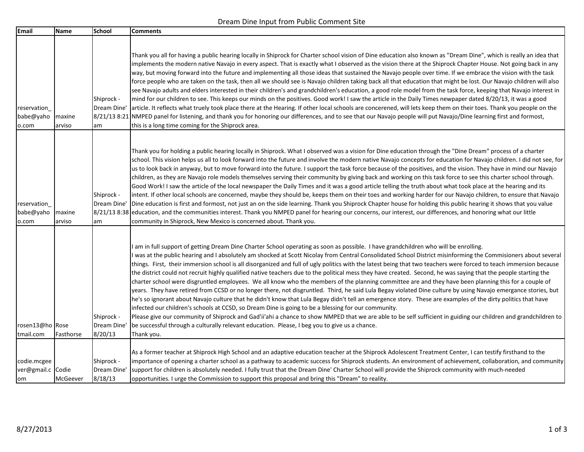## Dream Dine Input from Public Comment Site

| Email                                  | Name             | School                               | <b>Comments</b>                                                                                                                                                                                                                                                                                                                                                                                                                                                                                                                                                                                                                                                                                                                                                                                                                                                                                                                                                                                                                                                                                                                                                                                                                                                                                                                                                                                                                                                                                                                     |
|----------------------------------------|------------------|--------------------------------------|-------------------------------------------------------------------------------------------------------------------------------------------------------------------------------------------------------------------------------------------------------------------------------------------------------------------------------------------------------------------------------------------------------------------------------------------------------------------------------------------------------------------------------------------------------------------------------------------------------------------------------------------------------------------------------------------------------------------------------------------------------------------------------------------------------------------------------------------------------------------------------------------------------------------------------------------------------------------------------------------------------------------------------------------------------------------------------------------------------------------------------------------------------------------------------------------------------------------------------------------------------------------------------------------------------------------------------------------------------------------------------------------------------------------------------------------------------------------------------------------------------------------------------------|
| reservation<br>babe@yaho<br>o.com      | maxine<br>arviso | Shiprock -<br>Dream Dine'<br>am      | Thank you all for having a public hearing locally in Shiprock for Charter school vision of Dine education also known as "Dream Dine", which is really an idea that<br>implements the modern native Navajo in every aspect. That is exactly what I observed as the vision there at the Shiprock Chapter House. Not going back in any<br>way, but moving forward into the future and implementing all those ideas that sustained the Navajo people over time. If we embrace the vision with the task<br>force people who are taken on the task, then all we should see is Navajo children taking back all that education that might be lost. Our Navajo children will also<br>see Navajo adults and elders interested in their children's and grandchildren's education, a good role model from the task force, keeping that Navajo interest in<br>mind for our children to see. This keeps our minds on the positives. Good work! I saw the article in the Daily Times newpaper dated 8/20/13, it was a good<br>article. It reflects what truely took place there at the Hearing. If other local schools are concerened, will lets keep them on their toes. Thank you people on the<br>8/21/13 8:21 NMPED panel for listening, and thank you for honoring our differences, and to see that our Navajo people will put Navajo/Dine learning first and formost,<br>this is a long time coming for the Shiprock area.                                                                                                                   |
| reservation<br>babe@yaho<br>o.com      | maxine<br>arviso | Shiprock -<br>Dream Dine'<br>am      | Thank you for holding a public hearing locally in Shiprock. What I observed was a vision for Dine education through the "Dine Dream" process of a charter<br>school. This vision helps us all to look forward into the future and involve the modern native Navajo concepts for education for Navajo children. I did not see, for<br>us to look back in anyway, but to move forward into the future. I support the task force because of the positives, and the vision. They have in mind our Navajo<br>children, as they are Navajo role models themselves serving their community by giving back and working on this task force to see this charter school through.<br>Good Work! I saw the article of the local newspaper the Daily Times and it was a good article telling the truth about what took place at the hearing and its<br>intent. If other local schools are concerned, maybe they should be, keeps them on their toes and working harder for our Navajo children, to ensure that Navajo<br>Dine education is first and formost, not just an on the side learning. Thank you Shiprock Chapter house for holding this public hearing it shows that you value<br>8/21/13 8:38 education, and the communities interest. Thank you NMPED panel for hearing our concerns, our interest, our differences, and honoring what our little<br>community in Shiprock, New Mexico is concerned about. Thank you.                                                                                                                 |
| rosen13@ho Rose<br>tmail.com           | Fasthorse        | Shiprock -<br>Dream Dine'<br>8/20/13 | I am in full support of getting Dream Dine Charter School operating as soon as possible. I have grandchildren who will be enrolling.<br>I was at the public hearing and I absolutely am shocked at Scott Nicolay from Central Consolidated School District misinforming the Commisioners about several<br>things. First, their immersion school is all disorganized and full of ugly politics with the latest being that two teachers were forced to teach immersion because<br>the district could not recruit highly qualified native teachers due to the political mess they have created. Second, he was saying that the people starting the<br>charter school were disgruntled employees. We all know who the members of the planning committee are and they have been planning this for a couple of<br>years. They have retired from CCSD or no longer there, not disgruntled. Third, he said Lula Begay violated Dine culture by using Navajo emergance stories, but<br>he's so ignorant about Navajo culture that he didn't know that Lula Begay didn't tell an emergence story. These are examples of the dirty politics that have<br>infected our children's schools at CCSD, so Dream Dine is going to be a blessing for our community.<br>Please give our community of Shiprock and Gad'ii'ahi a chance to show NMPED that we are able to be self sufficient in guiding our children and grandchildren to<br>be successful through a culturally relevant education. Please, I beg you to give us a chance.<br>Thank you. |
| codie.mcgee<br>ver@gmail.c Codie<br>om | McGeever         | Shiprock -<br>Dream Dine'<br>8/18/13 | As a former teacher at Shiprock High School and an adaptive education teacher at the Shiprock Adolescent Treatment Center, I can testify firsthand to the<br>importance of opening a charter school as a pathway to academic success for Shiprock students. An environment of achievement, collaboration, and community<br>support for children is absolutely needed. I fully trust that the Dream Dine' Charter School will provide the Shiprock community with much-needed<br>opportunities. I urge the Commission to support this proposal and bring this "Dream" to reality.                                                                                                                                                                                                                                                                                                                                                                                                                                                                                                                                                                                                                                                                                                                                                                                                                                                                                                                                                    |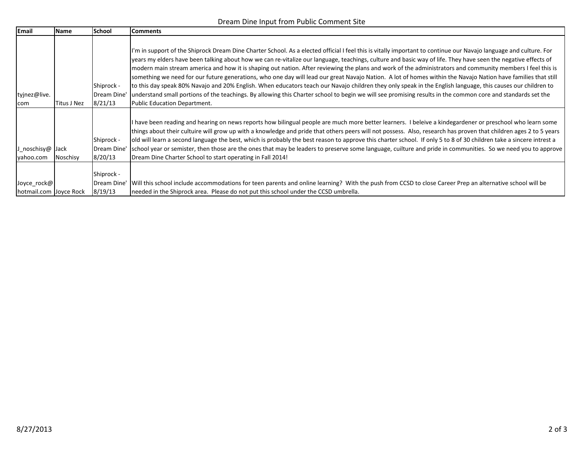## Dream Dine Input from Public Comment Site

| Email                                 | Name        | School                                | <b>Comments</b>                                                                                                                                                                                                                                                                                                                                                                                                                                                                                                                                                                                                                                                                                                                                                                                                                                                                                                                                                                                                                 |
|---------------------------------------|-------------|---------------------------------------|---------------------------------------------------------------------------------------------------------------------------------------------------------------------------------------------------------------------------------------------------------------------------------------------------------------------------------------------------------------------------------------------------------------------------------------------------------------------------------------------------------------------------------------------------------------------------------------------------------------------------------------------------------------------------------------------------------------------------------------------------------------------------------------------------------------------------------------------------------------------------------------------------------------------------------------------------------------------------------------------------------------------------------|
| tyjnez@live.<br>com                   | Titus J Nez | Shiprock -<br>Dream Dine'<br> 8/21/13 | I'm in support of the Shiprock Dream Dine Charter School. As a elected official I feel this is vitally important to continue our Navajo language and culture. For<br>years my elders have been talking about how we can re-vitalize our language, teachings, culture and basic way of life. They have seen the negative effects of<br>modern main stream america and how it is shaping out nation. After reviewing the plans and work of the administrators and community members I feel this is<br>something we need for our future generations, who one day will lead our great Navajo Nation. A lot of homes within the Navajo Nation have families that still<br>to this day speak 80% Navajo and 20% English. When educators teach our Navajo children they only speak in the English language, this causes our children to<br>understand small portions of the teachings. By allowing this Charter school to begin we will see promising results in the common core and standards set the<br>Public Education Department. |
| J_noschisy@ Jack<br>yahoo.com         | Noschisy    | Shiprock -<br> Dream Dine'<br>8/20/13 | I have been reading and hearing on news reports how bilingual people are much more better learners. I beleive a kindegardener or preschool who learn some<br>things about their cultuire will grow up with a knowledge and pride that others peers will not possess. Also, research has proven that children ages 2 to 5 years<br>old will learn a second language the best, which is probably the best reason to approve this charter school. If only 5 to 8 of 30 children take a sincere intrest a<br>school year or semister, then those are the ones that may be leaders to preserve some language, cuilture and pride in communities. So we need you to approve<br>Dream Dine Charter School to start operating in Fall 2014!                                                                                                                                                                                                                                                                                             |
| Joyce_rock@<br>hotmail.com Joyce Rock |             | Shiprock -<br>Dream Dine'<br> 8/19/13 | Will this school include accommodations for teen parents and online learning? With the push from CCSD to close Career Prep an alternative school will be<br>needed in the Shiprock area. Please do not put this school under the CCSD umbrella.                                                                                                                                                                                                                                                                                                                                                                                                                                                                                                                                                                                                                                                                                                                                                                                 |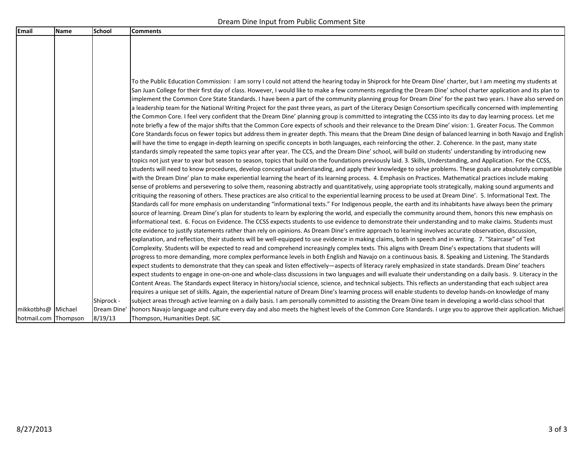| <b>Email</b>         | <b>Name</b> | School      | <b>Comments</b>                                                                                                                                                                                                                                                                                                                                                                                                                                                                                                                                                                                                                                                                                                                                                                                                                                                                                                                                                                                                                                                                                                                                                                                                                                                                                                                                                                                                                                                                                                                                                                                                                                                                                                                                                                                                                                                                                                                                                                                                                                                                                                                                                                                                                                                                                                                                                                                                                                                                                                                                                                                                                                                                                                                                                                                                                                                                                                                                                                                                                                                                                                                                                                                                                                                                                                                                                                                                                                                                                                                                                                                                                |
|----------------------|-------------|-------------|--------------------------------------------------------------------------------------------------------------------------------------------------------------------------------------------------------------------------------------------------------------------------------------------------------------------------------------------------------------------------------------------------------------------------------------------------------------------------------------------------------------------------------------------------------------------------------------------------------------------------------------------------------------------------------------------------------------------------------------------------------------------------------------------------------------------------------------------------------------------------------------------------------------------------------------------------------------------------------------------------------------------------------------------------------------------------------------------------------------------------------------------------------------------------------------------------------------------------------------------------------------------------------------------------------------------------------------------------------------------------------------------------------------------------------------------------------------------------------------------------------------------------------------------------------------------------------------------------------------------------------------------------------------------------------------------------------------------------------------------------------------------------------------------------------------------------------------------------------------------------------------------------------------------------------------------------------------------------------------------------------------------------------------------------------------------------------------------------------------------------------------------------------------------------------------------------------------------------------------------------------------------------------------------------------------------------------------------------------------------------------------------------------------------------------------------------------------------------------------------------------------------------------------------------------------------------------------------------------------------------------------------------------------------------------------------------------------------------------------------------------------------------------------------------------------------------------------------------------------------------------------------------------------------------------------------------------------------------------------------------------------------------------------------------------------------------------------------------------------------------------------------------------------------------------------------------------------------------------------------------------------------------------------------------------------------------------------------------------------------------------------------------------------------------------------------------------------------------------------------------------------------------------------------------------------------------------------------------------------------------------|
|                      |             |             |                                                                                                                                                                                                                                                                                                                                                                                                                                                                                                                                                                                                                                                                                                                                                                                                                                                                                                                                                                                                                                                                                                                                                                                                                                                                                                                                                                                                                                                                                                                                                                                                                                                                                                                                                                                                                                                                                                                                                                                                                                                                                                                                                                                                                                                                                                                                                                                                                                                                                                                                                                                                                                                                                                                                                                                                                                                                                                                                                                                                                                                                                                                                                                                                                                                                                                                                                                                                                                                                                                                                                                                                                                |
|                      |             |             |                                                                                                                                                                                                                                                                                                                                                                                                                                                                                                                                                                                                                                                                                                                                                                                                                                                                                                                                                                                                                                                                                                                                                                                                                                                                                                                                                                                                                                                                                                                                                                                                                                                                                                                                                                                                                                                                                                                                                                                                                                                                                                                                                                                                                                                                                                                                                                                                                                                                                                                                                                                                                                                                                                                                                                                                                                                                                                                                                                                                                                                                                                                                                                                                                                                                                                                                                                                                                                                                                                                                                                                                                                |
|                      |             |             |                                                                                                                                                                                                                                                                                                                                                                                                                                                                                                                                                                                                                                                                                                                                                                                                                                                                                                                                                                                                                                                                                                                                                                                                                                                                                                                                                                                                                                                                                                                                                                                                                                                                                                                                                                                                                                                                                                                                                                                                                                                                                                                                                                                                                                                                                                                                                                                                                                                                                                                                                                                                                                                                                                                                                                                                                                                                                                                                                                                                                                                                                                                                                                                                                                                                                                                                                                                                                                                                                                                                                                                                                                |
|                      |             |             |                                                                                                                                                                                                                                                                                                                                                                                                                                                                                                                                                                                                                                                                                                                                                                                                                                                                                                                                                                                                                                                                                                                                                                                                                                                                                                                                                                                                                                                                                                                                                                                                                                                                                                                                                                                                                                                                                                                                                                                                                                                                                                                                                                                                                                                                                                                                                                                                                                                                                                                                                                                                                                                                                                                                                                                                                                                                                                                                                                                                                                                                                                                                                                                                                                                                                                                                                                                                                                                                                                                                                                                                                                |
|                      |             |             | To the Public Education Commission: I am sorry I could not attend the hearing today in Shiprock for hte Dream Dine' charter, but I am meeting my students at<br>San Juan College for their first day of class. However, I would like to make a few comments regarding the Dream Dine' school charter application and its plan to<br>implement the Common Core State Standards. I have been a part of the community planning group for Dream Dine' for the past two years. I have also served on<br>a leadership team for the National Writing Project for the past three years, as part of the Literacy Design Consortium specifically concerned with implementing<br>the Common Core. I feel very confident that the Dream Dine' planning group is committed to integrating the CCSS into its day to day learning process. Let me<br>note briefly a few of the major shifts that the Common Core expects of schools and their relevance to the Dream Dine' vision: 1. Greater Focus. The Common<br>Core Standards focus on fewer topics but address them in greater depth. This means that the Dream Dine design of balanced learning in both Navajo and English<br>will have the time to engage in-depth learning on specific concepts in both languages, each reinforcing the other. 2. Coherence. In the past, many state<br>standards simply repeated the same topics year after year. The CCS, and the Dream Dine' school, will build on students' understanding by introducing new<br>topics not just year to year but season to season, topics that build on the foundations previously laid. 3. Skills, Understanding, and Application. For the CCSS,<br>students will need to know procedures, develop conceptual understanding, and apply their knowledge to solve problems. These goals are absolutely compatible<br>with the Dream Dine' plan to make experiential learning the heart of its learning process. 4. Emphasis on Practices. Mathematical practices include making<br>sense of problems and persevering to solve them, reasoning abstractly and quantitatively, using appropriate tools strategically, making sound arguments and<br>critiquing the reasoning of others. These practices are also critical to the experiential learning process to be used at Dream Dine'. 5. Informational Text. The<br>Standards call for more emphasis on understanding "informational texts." For Indigenous people, the earth and its inhabitants have always been the primary<br>source of learning. Dream Dine's plan for students to learn by exploring the world, and especially the community around them, honors this new emphasis on<br>informational text. 6. Focus on Evidence. The CCSS expects students to use evidence to demonstrate their understanding and to make claims. Students must<br>cite evidence to justify statements rather than rely on opinions. As Dream Dine's entire approach to learning involves accurate observation, discussion,<br>explanation, and reflection, their students will be well-equipped to use evidence in making claims, both in speech and in writing. 7. "Staircase" of Text<br>Complexity. Students will be expected to read and comprehend increasingly complex texts. This aligns with Dream Dine's expectations that students will<br>progress to more demanding, more complex performance levels in both English and Navajo on a continuous basis. 8. Speaking and Listening. The Standards<br>expect students to demonstrate that they can speak and listen effectively—aspects of literacy rarely emphasized in state standards. Dream Dine' teachers |
|                      |             |             | expect students to engage in one-on-one and whole-class discussions in two languages and will evaluate their understanding on a daily basis. 9. Literacy in the                                                                                                                                                                                                                                                                                                                                                                                                                                                                                                                                                                                                                                                                                                                                                                                                                                                                                                                                                                                                                                                                                                                                                                                                                                                                                                                                                                                                                                                                                                                                                                                                                                                                                                                                                                                                                                                                                                                                                                                                                                                                                                                                                                                                                                                                                                                                                                                                                                                                                                                                                                                                                                                                                                                                                                                                                                                                                                                                                                                                                                                                                                                                                                                                                                                                                                                                                                                                                                                                |
|                      |             |             | Content Areas. The Standards expect literacy in history/social science, science, and technical subjects. This reflects an understanding that each subject area                                                                                                                                                                                                                                                                                                                                                                                                                                                                                                                                                                                                                                                                                                                                                                                                                                                                                                                                                                                                                                                                                                                                                                                                                                                                                                                                                                                                                                                                                                                                                                                                                                                                                                                                                                                                                                                                                                                                                                                                                                                                                                                                                                                                                                                                                                                                                                                                                                                                                                                                                                                                                                                                                                                                                                                                                                                                                                                                                                                                                                                                                                                                                                                                                                                                                                                                                                                                                                                                 |
|                      |             |             | requires a unique set of skills. Again, the experiential nature of Dream Dine's learning process will enable students to develop hands-on knowledge of many                                                                                                                                                                                                                                                                                                                                                                                                                                                                                                                                                                                                                                                                                                                                                                                                                                                                                                                                                                                                                                                                                                                                                                                                                                                                                                                                                                                                                                                                                                                                                                                                                                                                                                                                                                                                                                                                                                                                                                                                                                                                                                                                                                                                                                                                                                                                                                                                                                                                                                                                                                                                                                                                                                                                                                                                                                                                                                                                                                                                                                                                                                                                                                                                                                                                                                                                                                                                                                                                    |
|                      |             | Shiprock -  | subject areas through active learning on a daily basis. I am personally committed to assisting the Dream Dine team in developing a world-class school that                                                                                                                                                                                                                                                                                                                                                                                                                                                                                                                                                                                                                                                                                                                                                                                                                                                                                                                                                                                                                                                                                                                                                                                                                                                                                                                                                                                                                                                                                                                                                                                                                                                                                                                                                                                                                                                                                                                                                                                                                                                                                                                                                                                                                                                                                                                                                                                                                                                                                                                                                                                                                                                                                                                                                                                                                                                                                                                                                                                                                                                                                                                                                                                                                                                                                                                                                                                                                                                                     |
| mikkotbhs@  Michael  |             | Dream Dine' | honors Navajo language and culture every day and also meets the highest levels of the Common Core Standards. I urge you to approve their application. Michael                                                                                                                                                                                                                                                                                                                                                                                                                                                                                                                                                                                                                                                                                                                                                                                                                                                                                                                                                                                                                                                                                                                                                                                                                                                                                                                                                                                                                                                                                                                                                                                                                                                                                                                                                                                                                                                                                                                                                                                                                                                                                                                                                                                                                                                                                                                                                                                                                                                                                                                                                                                                                                                                                                                                                                                                                                                                                                                                                                                                                                                                                                                                                                                                                                                                                                                                                                                                                                                                  |
| hotmail.com Thompson |             | 8/19/13     | Thompson, Humanities Dept. SJC                                                                                                                                                                                                                                                                                                                                                                                                                                                                                                                                                                                                                                                                                                                                                                                                                                                                                                                                                                                                                                                                                                                                                                                                                                                                                                                                                                                                                                                                                                                                                                                                                                                                                                                                                                                                                                                                                                                                                                                                                                                                                                                                                                                                                                                                                                                                                                                                                                                                                                                                                                                                                                                                                                                                                                                                                                                                                                                                                                                                                                                                                                                                                                                                                                                                                                                                                                                                                                                                                                                                                                                                 |